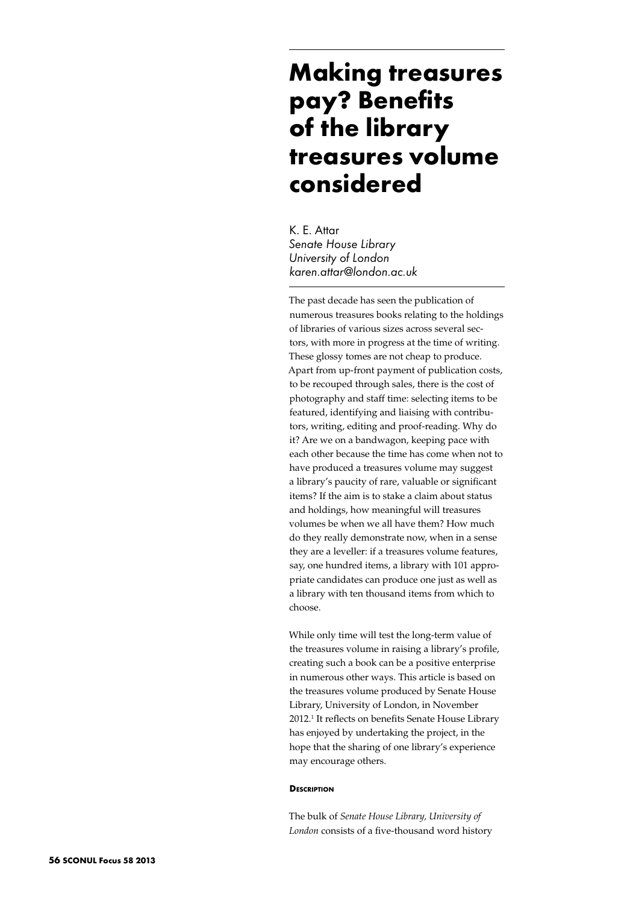# **Making treasures pay? Benefits of the library treasures volume considered**

K. E. Attar *Senate House Library University of London karen.attar@london.ac.uk*

The past decade has seen the publication of numerous treasures books relating to the holdings of libraries of various sizes across several sectors, with more in progress at the time of writing. These glossy tomes are not cheap to produce. Apart from up-front payment of publication costs, to be recouped through sales, there is the cost of photography and staff time: selecting items to be featured, identifying and liaising with contributors, writing, editing and proof-reading. Why do it? Are we on a bandwagon, keeping pace with each other because the time has come when not to have produced a treasures volume may suggest a library's paucity of rare, valuable or significant items? If the aim is to stake a claim about status and holdings, how meaningful will treasures volumes be when we all have them? How much do they really demonstrate now, when in a sense they are a leveller: if a treasures volume features, say, one hundred items, a library with 101 appropriate candidates can produce one just as well as a library with ten thousand items from which to choose.

While only time will test the long-term value of the treasures volume in raising a library's profile, creating such a book can be a positive enterprise in numerous other ways. This article is based on the treasures volume produced by Senate House Library, University of London, in November 2012.1 It reflects on benefits Senate House Library has enjoyed by undertaking the project, in the hope that the sharing of one library's experience may encourage others.

## **Description**

The bulk of *Senate House Library, University of London* consists of a five-thousand word history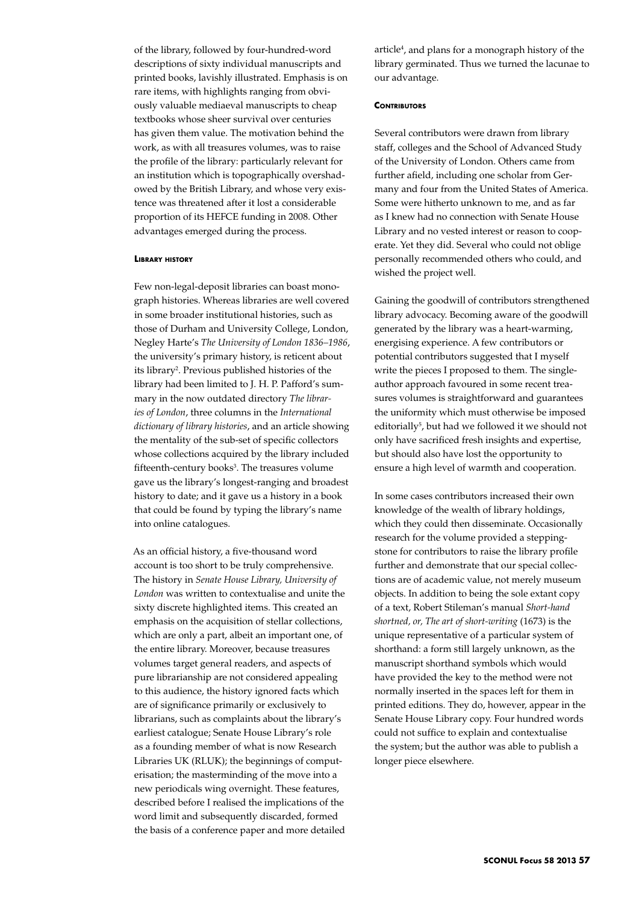of the library, followed by four-hundred-word descriptions of sixty individual manuscripts and printed books, lavishly illustrated. Emphasis is on rare items, with highlights ranging from obviously valuable mediaeval manuscripts to cheap textbooks whose sheer survival over centuries has given them value. The motivation behind the work, as with all treasures volumes, was to raise the profile of the library: particularly relevant for an institution which is topographically overshadowed by the British Library, and whose very existence was threatened after it lost a considerable proportion of its HEFCE funding in 2008. Other advantages emerged during the process.

#### **Library history**

Few non-legal-deposit libraries can boast monograph histories. Whereas libraries are well covered in some broader institutional histories, such as those of Durham and University College, London, Negley Harte's *The University of London 1836–1986*, the university's primary history, is reticent about its library2 . Previous published histories of the library had been limited to J. H. P. Pafford's summary in the now outdated directory *The libraries of London*, three columns in the *International dictionary of library histories*, and an article showing the mentality of the sub-set of specific collectors whose collections acquired by the library included fifteenth-century books<sup>3</sup>. The treasures volume gave us the library's longest-ranging and broadest history to date; and it gave us a history in a book that could be found by typing the library's name into online catalogues.

As an official history, a five-thousand word account is too short to be truly comprehensive. The history in *Senate House Library, University of London* was written to contextualise and unite the sixty discrete highlighted items. This created an emphasis on the acquisition of stellar collections, which are only a part, albeit an important one, of the entire library. Moreover, because treasures volumes target general readers, and aspects of pure librarianship are not considered appealing to this audience, the history ignored facts which are of significance primarily or exclusively to librarians, such as complaints about the library's earliest catalogue; Senate House Library's role as a founding member of what is now Research Libraries UK (RLUK); the beginnings of computerisation; the masterminding of the move into a new periodicals wing overnight. These features, described before I realised the implications of the word limit and subsequently discarded, formed the basis of a conference paper and more detailed

article4 , and plans for a monograph history of the library germinated. Thus we turned the lacunae to our advantage.

#### **CONTRIBUTORS**

Several contributors were drawn from library staff, colleges and the School of Advanced Study of the University of London. Others came from further afield, including one scholar from Germany and four from the United States of America. Some were hitherto unknown to me, and as far as I knew had no connection with Senate House Library and no vested interest or reason to cooperate. Yet they did. Several who could not oblige personally recommended others who could, and wished the project well.

Gaining the goodwill of contributors strengthened library advocacy. Becoming aware of the goodwill generated by the library was a heart-warming, energising experience. A few contributors or potential contributors suggested that I myself write the pieces I proposed to them. The singleauthor approach favoured in some recent treasures volumes is straightforward and guarantees the uniformity which must otherwise be imposed editorially<sup>5</sup>, but had we followed it we should not only have sacrificed fresh insights and expertise, but should also have lost the opportunity to ensure a high level of warmth and cooperation.

In some cases contributors increased their own knowledge of the wealth of library holdings, which they could then disseminate. Occasionally research for the volume provided a steppingstone for contributors to raise the library profile further and demonstrate that our special collections are of academic value, not merely museum objects. In addition to being the sole extant copy of a text, Robert Stileman's manual *Short-hand shortned, or, The art of short-writing* (1673) is the unique representative of a particular system of shorthand: a form still largely unknown, as the manuscript shorthand symbols which would have provided the key to the method were not normally inserted in the spaces left for them in printed editions. They do, however, appear in the Senate House Library copy. Four hundred words could not suffice to explain and contextualise the system; but the author was able to publish a longer piece elsewhere.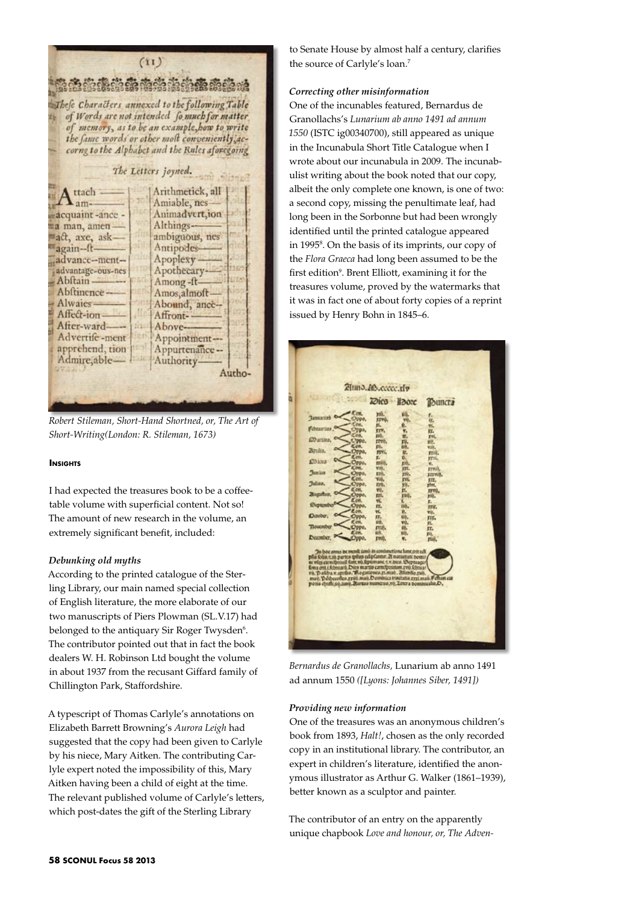$(ii)$ ි නිකිතී කිරීමේ නිකිතී කිරීමේ නිකි Thefe Characters annexed to the following Table of Words are not intended fo much for matter of memory, as to be an example, how to write the fame words or other molt conveniently accorne to the Alphabet and the Rules aforegoing The Letters joyned. ttach Arithmetick, all  $\mathbf{L}_{am}$ Amiable, nes Animadvert, ion acquaint-ance -Althingsma man, amen act, axe, ask ambiguous, nes Antipodesagain-ftadvance-ment-Apoplexy advantage-ous-nes Apothecary **Ab**ftain Among-ft-Abftinence Amos, almoft-**Alwaics** Abound, ance-Affect-ion Affront-After-ward-Above-Advertife-ment Appointmentapprehend, tion Appurtenance --Admire, able-Authority. Autho-

*Robert Stileman, Short-Hand Shortned, or, The Art of Short-Writing(London: R. Stileman, 1673)*

## **INSIGHTS**

I had expected the treasures book to be a coffeetable volume with superficial content. Not so! The amount of new research in the volume, an extremely significant benefit, included:

## *Debunking old myths*

According to the printed catalogue of the Sterling Library, our main named special collection of English literature, the more elaborate of our two manuscripts of Piers Plowman (SL.V.17) had belonged to the antiquary Sir Roger Twysden<sup>6</sup>. The contributor pointed out that in fact the book dealers W. H. Robinson Ltd bought the volume in about 1937 from the recusant Giffard family of Chillington Park, Staffordshire.

A typescript of Thomas Carlyle's annotations on Elizabeth Barrett Browning's *Aurora Leigh* had suggested that the copy had been given to Carlyle by his niece, Mary Aitken. The contributing Carlyle expert noted the impossibility of this, Mary Aitken having been a child of eight at the time. The relevant published volume of Carlyle's letters, which post-dates the gift of the Sterling Library

to Senate House by almost half a century, clarifies the source of Carlyle's loan.7

## *Correcting other misinformation*

One of the incunables featured, Bernardus de Granollachs's *Lunarium ab anno 1491 ad annum 1550* (ISTC ig00340700), still appeared as unique in the Incunabula Short Title Catalogue when I wrote about our incunabula in 2009. The incunabulist writing about the book noted that our copy, albeit the only complete one known, is one of two: a second copy, missing the penultimate leaf, had long been in the Sorbonne but had been wrongly identified until the printed catalogue appeared in 1995<sup>8</sup>. On the basis of its imprints, our copy of the *Flora Graeca* had long been assumed to be the first edition<sup>9</sup>. Brent Elliott, examining it for the treasures volume, proved by the watermarks that it was in fact one of about forty copies of a reprint issued by Henry Bohn in 1845–6.



*Bernardus de Granollachs,* Lunarium ab anno 1491 ad annum 1550 *([Lyons: Johannes Siber, 1491])*

## *Providing new information*

One of the treasures was an anonymous children's book from 1893, *Halt!*, chosen as the only recorded copy in an institutional library. The contributor, an expert in children's literature, identified the anonymous illustrator as Arthur G. Walker (1861–1939), better known as a sculptor and painter.

The contributor of an entry on the apparently unique chapbook *Love and honour, or, The Adven-*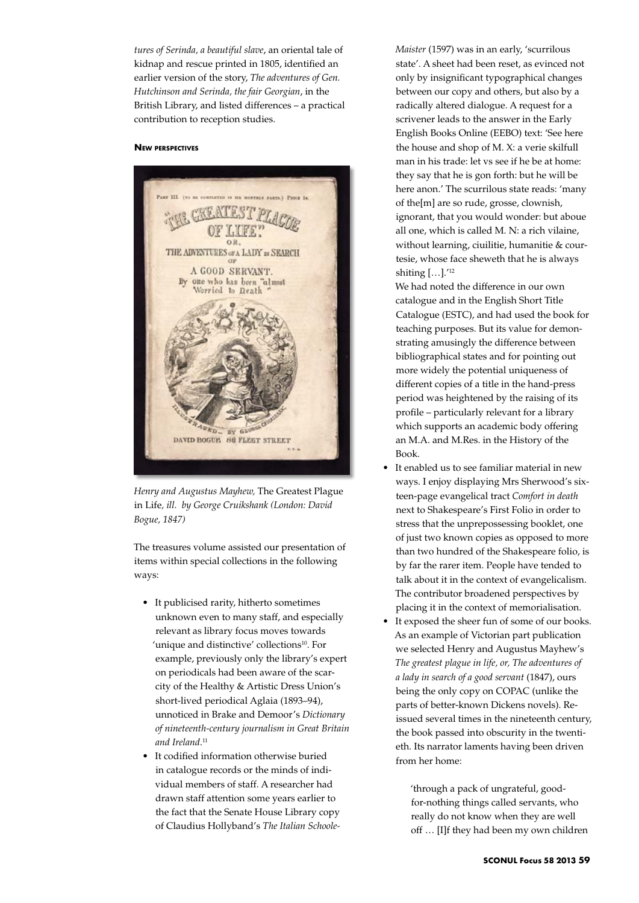*tures of Serinda, a beautiful slave*, an oriental tale of kidnap and rescue printed in 1805, identified an earlier version of the story, *The adventures of Gen. Hutchinson and Serinda, the fair Georgian*, in the British Library, and listed differences – a practical contribution to reception studies.

## **New perspectives**



*Henry and Augustus Mayhew,* The Greatest Plague in Life*, ill. by George Cruikshank (London: David Bogue, 1847)*

The treasures volume assisted our presentation of items within special collections in the following ways:

- • It publicised rarity, hitherto sometimes unknown even to many staff, and especially relevant as library focus moves towards 'unique and distinctive' collections<sup>10</sup>. For example, previously only the library's expert on periodicals had been aware of the scarcity of the Healthy & Artistic Dress Union's short-lived periodical Aglaia (1893–94), unnoticed in Brake and Demoor's *Dictionary of nineteenth-century journalism in Great Britain and Ireland*. 11
- • It codified information otherwise buried in catalogue records or the minds of individual members of staff. A researcher had drawn staff attention some years earlier to the fact that the Senate House Library copy of Claudius Hollyband's *The Italian Schoole-*

*Maister* (1597) was in an early, 'scurrilous state'. A sheet had been reset, as evinced not only by insignificant typographical changes between our copy and others, but also by a radically altered dialogue. A request for a scrivener leads to the answer in the Early English Books Online (EEBO) text: 'See here the house and shop of M. X: a verie skilfull man in his trade: let vs see if he be at home: they say that he is gon forth: but he will be here anon.' The scurrilous state reads: 'many of the[m] are so rude, grosse, clownish, ignorant, that you would wonder: but aboue all one, which is called M. N: a rich vilaine, without learning, ciuilitie, humanitie & courtesie, whose face sheweth that he is always shiting […].'12

We had noted the difference in our own catalogue and in the English Short Title Catalogue (ESTC), and had used the book for teaching purposes. But its value for demonstrating amusingly the difference between bibliographical states and for pointing out more widely the potential uniqueness of different copies of a title in the hand-press period was heightened by the raising of its profile – particularly relevant for a library which supports an academic body offering an M.A. and M.Res. in the History of the Book.

- It enabled us to see familiar material in new ways. I enjoy displaying Mrs Sherwood's sixteen-page evangelical tract *Comfort in death* next to Shakespeare's First Folio in order to stress that the unprepossessing booklet, one of just two known copies as opposed to more than two hundred of the Shakespeare folio, is by far the rarer item. People have tended to talk about it in the context of evangelicalism. The contributor broadened perspectives by placing it in the context of memorialisation.
- It exposed the sheer fun of some of our books. As an example of Victorian part publication we selected Henry and Augustus Mayhew's *The greatest plague in life, or, The adventures of a lady in search of a good servant* (1847), ours being the only copy on COPAC (unlike the parts of better-known Dickens novels). Reissued several times in the nineteenth century, the book passed into obscurity in the twentieth. Its narrator laments having been driven from her home:

'through a pack of ungrateful, goodfor-nothing things called servants, who really do not know when they are well off … [I]f they had been my own children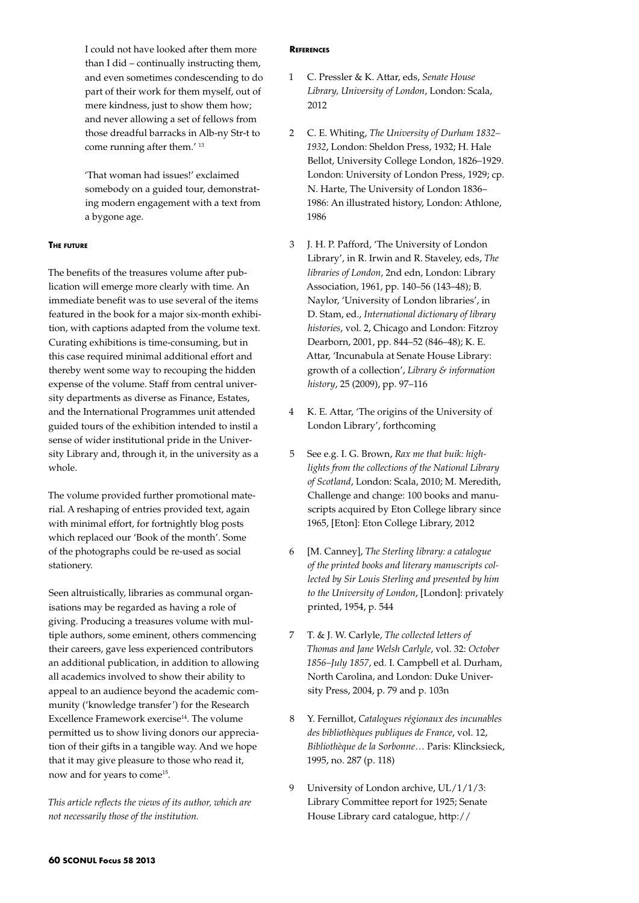I could not have looked after them more than I did – continually instructing them, and even sometimes condescending to do part of their work for them myself, out of mere kindness, just to show them how; and never allowing a set of fellows from those dreadful barracks in Alb-ny Str-t to come running after them.' 13

'That woman had issues!' exclaimed somebody on a guided tour, demonstrating modern engagement with a text from a bygone age.

## **The future**

The benefits of the treasures volume after publication will emerge more clearly with time. An immediate benefit was to use several of the items featured in the book for a major six-month exhibition, with captions adapted from the volume text. Curating exhibitions is time-consuming, but in this case required minimal additional effort and thereby went some way to recouping the hidden expense of the volume. Staff from central university departments as diverse as Finance, Estates, and the International Programmes unit attended guided tours of the exhibition intended to instil a sense of wider institutional pride in the University Library and, through it, in the university as a whole.

The volume provided further promotional material. A reshaping of entries provided text, again with minimal effort, for fortnightly blog posts which replaced our 'Book of the month'. Some of the photographs could be re-used as social stationery.

Seen altruistically, libraries as communal organisations may be regarded as having a role of giving. Producing a treasures volume with multiple authors, some eminent, others commencing their careers, gave less experienced contributors an additional publication, in addition to allowing all academics involved to show their ability to appeal to an audience beyond the academic community ('knowledge transfer') for the Research Excellence Framework exercise<sup>14</sup>. The volume permitted us to show living donors our appreciation of their gifts in a tangible way. And we hope that it may give pleasure to those who read it, now and for years to come<sup>15</sup>.

*This article reflects the views of its author, which are not necessarily those of the institution.*

#### **References**

- 1 C. Pressler & K. Attar, eds, *Senate House Library, University of London*, London: Scala, 2012
- 2 C. E. Whiting, *The University of Durham 1832– 1932*, London: Sheldon Press, 1932; H. Hale Bellot, University College London, 1826–1929. London: University of London Press, 1929; cp. N. Harte, The University of London 1836– 1986: An illustrated history, London: Athlone, 1986
- 3 J. H. P. Pafford, 'The University of London Library', in R. Irwin and R. Staveley, eds, *The libraries of London*, 2nd edn, London: Library Association, 1961, pp. 140–56 (143–48); B. Naylor, 'University of London libraries', in D. Stam, ed., *International dictionary of library histories*, vol. 2, Chicago and London: Fitzroy Dearborn, 2001, pp. 844–52 (846–48); K. E. Attar, 'Incunabula at Senate House Library: growth of a collection', *Library & information history*, 25 (2009), pp. 97–116
- 4 K. E. Attar, 'The origins of the University of London Library', forthcoming
- 5 See e.g. I. G. Brown, *Rax me that buik: highlights from the collections of the National Library of Scotland*, London: Scala, 2010; M. Meredith, Challenge and change: 100 books and manuscripts acquired by Eton College library since 1965, [Eton]: Eton College Library, 2012
- 6 [M. Canney], *The Sterling library: a catalogue of the printed books and literary manuscripts collected by Sir Louis Sterling and presented by him to the University of London*, [London]: privately printed, 1954, p. 544
- 7 T. & J. W. Carlyle, *The collected letters of Thomas and Jane Welsh Carlyle*, vol. 32: *October 1856–July 1857*, ed. I. Campbell et al. Durham, North Carolina, and London: Duke University Press, 2004, p. 79 and p. 103n
- 8 Y. Fernillot, *Catalogues régionaux des incunables des bibliothèques publiques de France*, vol. 12, *Bibliothèque de la Sorbonne*… Paris: Klincksieck, 1995, no. 287 (p. 118)
- 9 University of London archive, UL/1/1/3: Library Committee report for 1925; Senate House Library card catalogue, http://